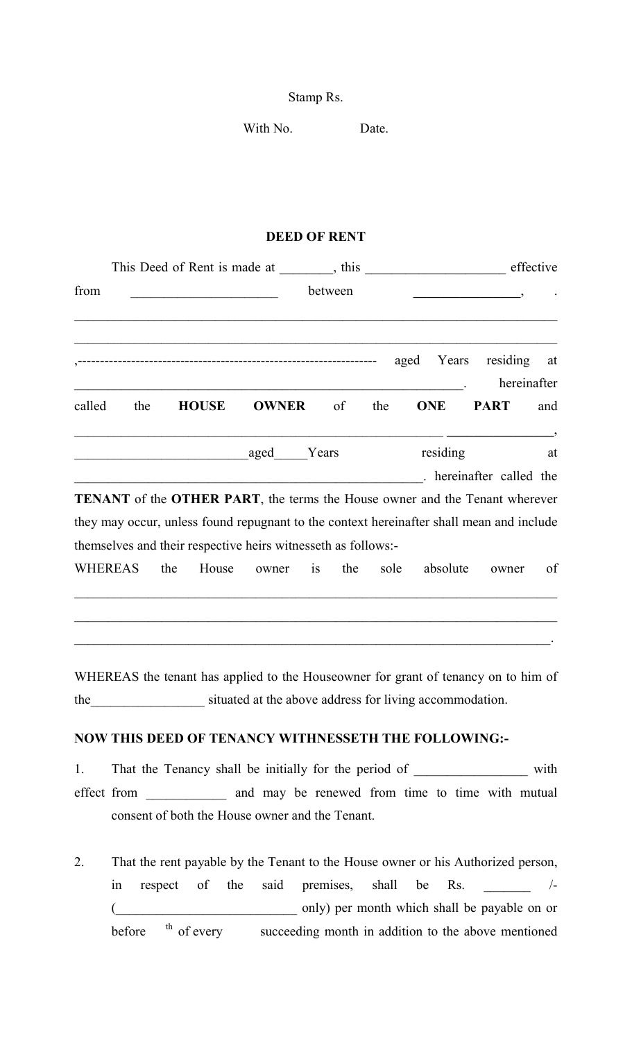Stamp Rs.

With No. Date.

## **DEED OF RENT**

|                |                                                               |     |              |                                                               |    |     |      |      | effective  |                                                                                            |                   |  |
|----------------|---------------------------------------------------------------|-----|--------------|---------------------------------------------------------------|----|-----|------|------|------------|--------------------------------------------------------------------------------------------|-------------------|--|
| from           | between<br><u> 1989 - Johann John Harry Barbara, martin a</u> |     |              |                                                               |    |     |      |      |            | $\overline{\phantom{a}}$                                                                   |                   |  |
|                |                                                               |     |              |                                                               |    |     |      | aged | Years      | residing                                                                                   | at<br>hereinafter |  |
| called         | the                                                           |     | <b>HOUSE</b> | <b>OWNER</b>                                                  |    | of  | the  |      | <b>ONE</b> | <b>PART</b>                                                                                | and               |  |
|                |                                                               |     |              | aged Years                                                    |    |     |      |      | residing   | at<br>hereinafter called the                                                               |                   |  |
|                |                                                               |     |              |                                                               |    |     |      |      |            | <b>TENANT</b> of the <b>OTHER PART</b> , the terms the House owner and the Tenant wherever |                   |  |
|                |                                                               |     |              | themselves and their respective heirs witnesseth as follows:- |    |     |      |      |            | they may occur, unless found repugnant to the context hereinafter shall mean and include   |                   |  |
| <b>WHEREAS</b> |                                                               | the | House        | owner                                                         | is | the | sole |      | absolute   | owner                                                                                      | of                |  |
|                |                                                               |     |              |                                                               |    |     |      |      |            |                                                                                            |                   |  |

WHEREAS the tenant has applied to the Houseowner for grant of tenancy on to him of the situated at the above address for living accommodation.

## **NOW THIS DEED OF TENANCY WITHNESSETH THE FOLLOWING:-**

1. That the Tenancy shall be initially for the period of \_\_\_\_\_\_\_\_\_\_\_\_\_\_\_\_\_\_\_ with effect from \_\_\_\_\_\_\_\_\_\_\_\_ and may be renewed from time to time with mutual consent of both the House owner and the Tenant.

2. That the rent payable by the Tenant to the House owner or his Authorized person, in respect of the said premises, shall be Rs. \_\_\_\_\_\_ /-( and only) per month which shall be payable on or before <sup>th</sup> of every succeeding month in addition to the above mentioned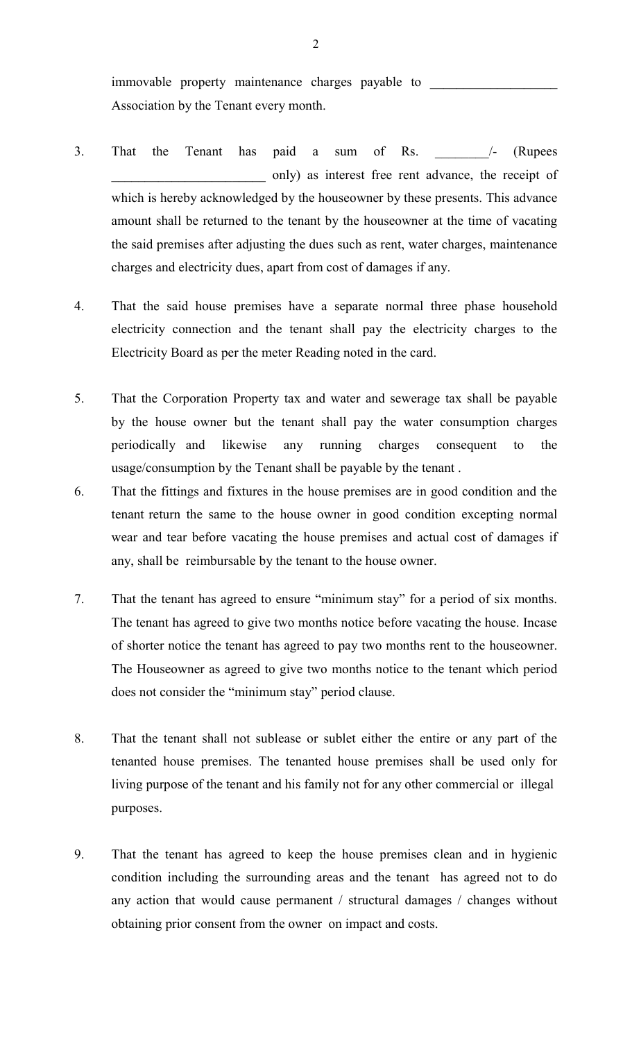immovable property maintenance charges payable to Association by the Tenant every month.

- 3. That the Tenant has paid a sum of Rs. 4 (Rupees only) as interest free rent advance, the receipt of which is hereby acknowledged by the houseowner by these presents. This advance amount shall be returned to the tenant by the houseowner at the time of vacating the said premises after adjusting the dues such as rent, water charges, maintenance charges and electricity dues, apart from cost of damages if any.
- 4. That the said house premises have a separate normal three phase household electricity connection and the tenant shall pay the electricity charges to the Electricity Board as per the meter Reading noted in the card.
- 5. That the Corporation Property tax and water and sewerage tax shall be payable by the house owner but the tenant shall pay the water consumption charges periodically and likewise any running charges consequent to the usage/consumption by the Tenant shall be payable by the tenant .
- 6. That the fittings and fixtures in the house premises are in good condition and the tenant return the same to the house owner in good condition excepting normal wear and tear before vacating the house premises and actual cost of damages if any, shall be reimbursable by the tenant to the house owner.
- 7. That the tenant has agreed to ensure "minimum stay" for a period of six months. The tenant has agreed to give two months notice before vacating the house. Incase of shorter notice the tenant has agreed to pay two months rent to the houseowner. The Houseowner as agreed to give two months notice to the tenant which period does not consider the "minimum stay" period clause.
- 8. That the tenant shall not sublease or sublet either the entire or any part of the tenanted house premises. The tenanted house premises shall be used only for living purpose of the tenant and his family not for any other commercial or illegal purposes.
- 9. That the tenant has agreed to keep the house premises clean and in hygienic condition including the surrounding areas and the tenant has agreed not to do any action that would cause permanent / structural damages / changes without obtaining prior consent from the owner on impact and costs.